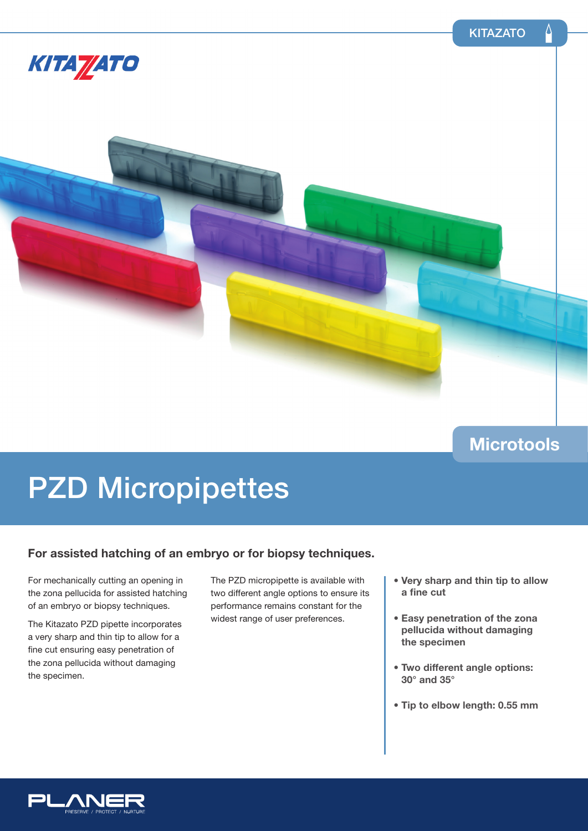

### **Microtools**

# PZD Micropipettes

### **For assisted hatching of an embryo or for biopsy techniques.**

For mechanically cutting an opening in the zona pellucida for assisted hatching of an embryo or biopsy techniques.

The Kitazato PZD pipette incorporates a very sharp and thin tip to allow for a fine cut ensuring easy penetration of the zona pellucida without damaging the specimen.

The PZD micropipette is available with two different angle options to ensure its performance remains constant for the widest range of user preferences.

- **Very sharp and thin tip to allow a fine cut**
- **Easy penetration of the zona pellucida without damaging the specimen**
- **Two different angle options: 30° and 35°**
- **Tip to elbow length: 0.55 mm**